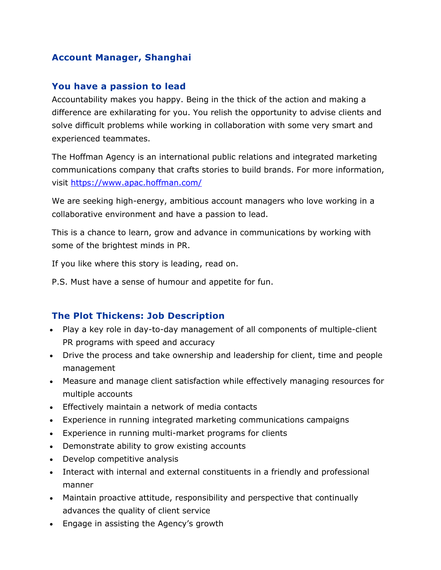### **Account Manager, Shanghai**

#### **You have a passion to lead**

Accountability makes you happy. Being in the thick of the action and making a difference are exhilarating for you. You relish the opportunity to advise clients and solve difficult problems while working in collaboration with some very smart and experienced teammates.

The Hoffman Agency is an international public relations and integrated marketing communications company that crafts stories to build brands. For more information, visit<https://www.apac.hoffman.com/>

We are seeking high-energy, ambitious account managers who love working in a collaborative environment and have a passion to lead.

This is a chance to learn, grow and advance in communications by working with some of the brightest minds in PR.

If you like where this story is leading, read on.

P.S. Must have a sense of humour and appetite for fun.

#### **The Plot Thickens: Job Description**

- Play a key role in day-to-day management of all components of multiple-client PR programs with speed and accuracy
- Drive the process and take ownership and leadership for client, time and people management
- Measure and manage client satisfaction while effectively managing resources for multiple accounts
- Effectively maintain a network of media contacts
- Experience in running integrated marketing communications campaigns
- Experience in running multi-market programs for clients
- Demonstrate ability to grow existing accounts
- Develop competitive analysis
- Interact with internal and external constituents in a friendly and professional manner
- Maintain proactive attitude, responsibility and perspective that continually advances the quality of client service
- Engage in assisting the Agency's growth